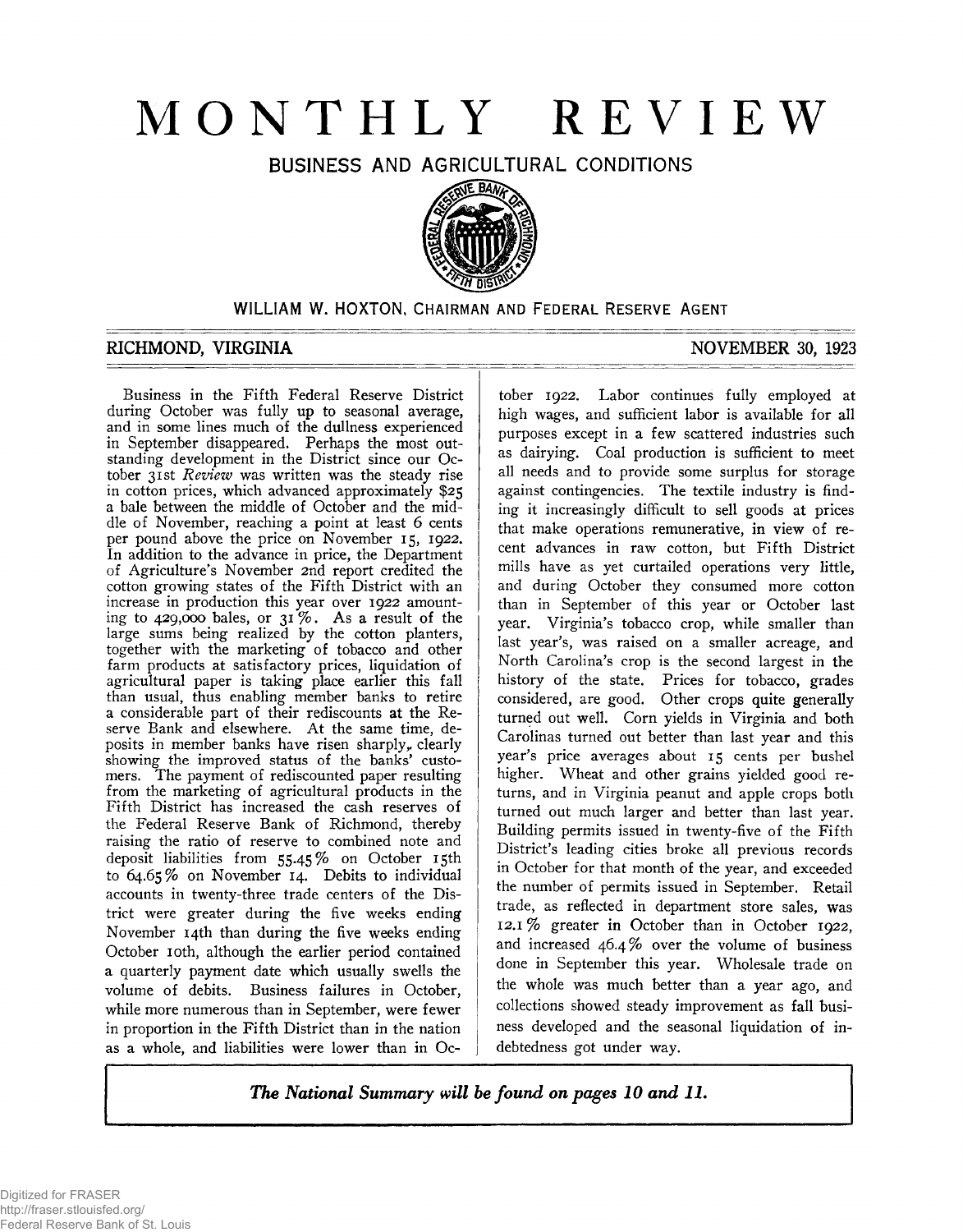# **MONTHLY REVIEW**

BUSINESS AND AGRICULTURAL CONDITIONS



# WILLIAM W. HOXTON, CHAIRMAN AND FEDERAL RESERVE AGENT

# RICHMOND, VIRGINIA NOVEMBER 30, 1923

Business in the Fifth Federal Reserve District during October was fully up to seasonal average, and in some lines much of the dullness experienced in September disappeared. Perhaps the most outstanding development in the District since our October 31st *Review* was written was the steady rise in cotton prices, which advanced approximately \$25 a bale between the middle of October and the middle of November, reaching a point at least 6 cents per pound above the price on November 15, 1922. In addition to the advance in price, the Department of Agriculture's November 2nd report credited the cotton growing states of the Fifth District with an increase in production this year over 1922 amounting to 429,000 bales, or  $3^{1}\%$ . As a result of the large sums being realized by the cotton planters, together with the marketing of tobacco and other farm products at satisfactory prices, liquidation of agricultural paper is taking place earlier this fall than usual, thus enabling member banks to retire a considerable part of their rediscounts at the Reserve Bank and elsewhere. At the same time, deposits in member banks have risen sharply, clearly showing the improved status of the banks' customers. The payment of rediscounted paper resulting from the marketing of agricultural products in the Fifth District has increased the cash reserves of the Federal Reserve Bank of Richmond, thereby raising the ratio of reserve to combined note and deposit liabilities from 55.45% on October 15th to 64.65% on November 14. Debits to individual accounts in twenty-three trade centers of the District were greater during the five weeks ending November 14th than during the five weeks ending October 10th, although the earlier period contained a quarterly payment date which usually swells the volume of debits. Business failures in October, while more numerous than in September, were fewer in proportion in the Fifth District than in the nation as a whole, and liabilities were lower than in Oc-

tober 1922. Labor continues fully employed at high wages, and sufficient labor is available for all purposes except in a few scattered industries such as dairying. Coal production is sufficient to meet all needs and to provide some surplus for storage against contingencies. The textile industry is finding it increasingly difficult to sell goods at prices that make operations remunerative, in view of recent advances in raw cotton, but Fifth District mills have as yet curtailed operations very little, and during October they consumed more cotton than in September of this year or October last year. Virginia's tobacco crop, while smaller than last year's, was raised on a smaller acreage, and North Carolina's crop is the second largest in the history of the state. Prices for tobacco, grades considered, are good. Other crops quite generally turned out well. Corn yields in Virginia and both Carolinas turned out better than last year and this year's price averages about 15 cents per bushel higher. Wheat and other grains yielded good returns, and in Virginia peanut and apple crops both turned out much larger and better than last year. Building permits issued in twenty-five of the Fifth District's leading cities broke all previous records in October for that month of the year, and exceeded the number of permits issued in September. Retail trade, as reflected in department store sales, was 12.1 % greater in October than in October 1922, and increased 46.4% over the volume of business done in September this year. Wholesale trade on the whole was much better than a year ago, and collections showed steady improvement as fall business developed and the seasonal liquidation of indebtedness got under way.

*The National Summary will be found on pages 10 and* **II.**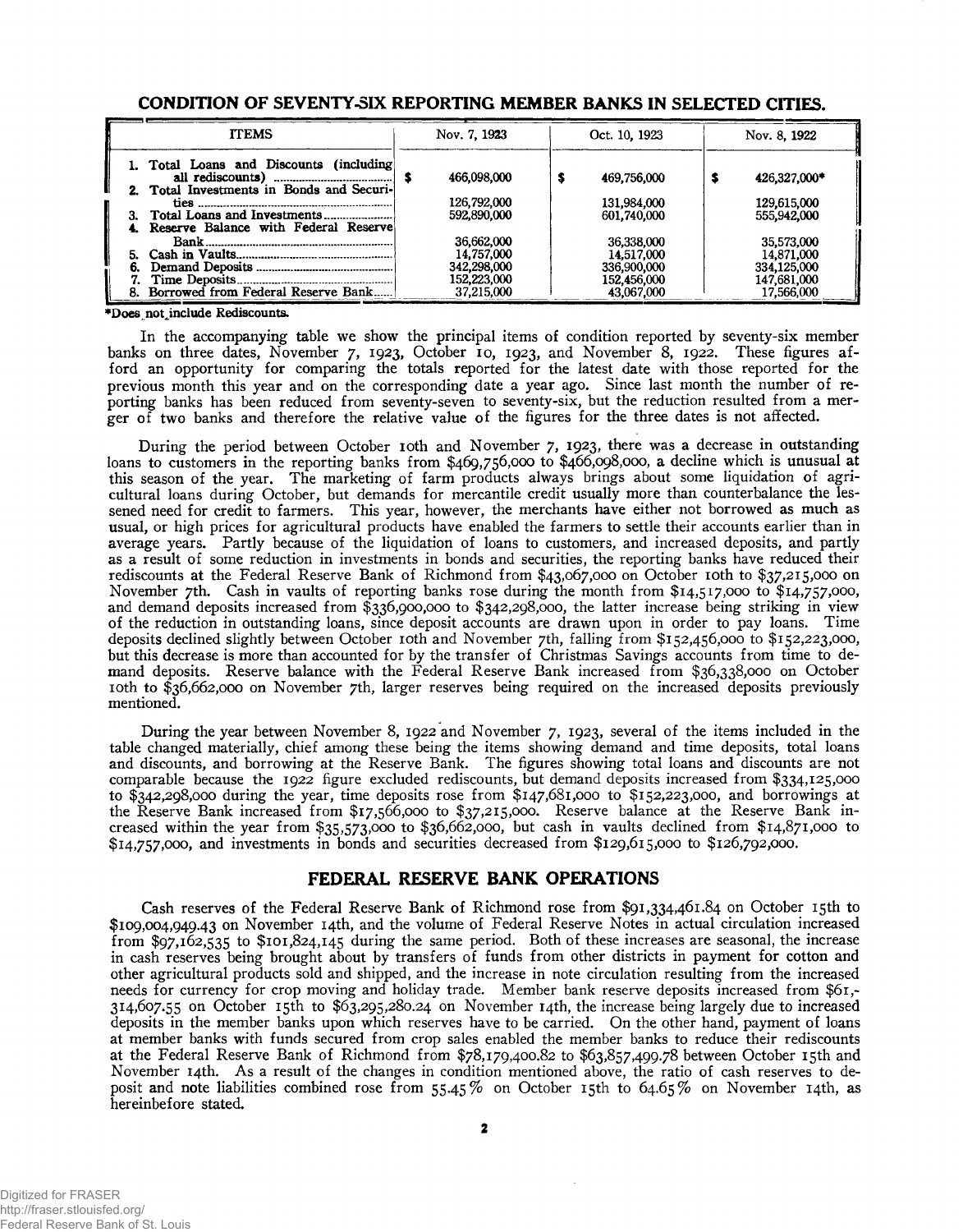| <b>TTEMS</b>                                                                          | Nov. 7, 1923                             | Oct. 10, 1923                            | Nov. 8, 1922                             |  |
|---------------------------------------------------------------------------------------|------------------------------------------|------------------------------------------|------------------------------------------|--|
| 1. Total Loans and Discounts (including)<br>2. Total Investments in Bonds and Securi- | 466,098,000                              | 469,756,000                              | 426,327,000*                             |  |
| 4. Reserve Balance with Federal Reservel                                              | 126,792,000<br>592,890,000               | 131.984.000<br>601,740,000               | 129,615,000<br>555,942,000               |  |
|                                                                                       | 36,662,000<br>14,757,000                 | 36,338,000<br>14.517.000                 | 35,573,000<br>14,871,000                 |  |
| 8. Borrowed from Federal Reserve Bank                                                 | 342,298,000<br>152,223,000<br>37.215.000 | 336,900,000<br>152,456,000<br>43,067,000 | 334,125,000<br>147,681,000<br>17,566,000 |  |

### **CONDITION OF SEVENTY-SIX REPORTING MEMBER BANKS IN SELECTED CITIES.**

♦Does not ^include Rediscounts.

In the accompanying table we show the principal items of condition reported by seventy-six member banks on three dates, November 7, 1923, October 10, 1923, and November 8, 1922. These figures afford an opportunity for comparing the totals reported for the latest date with those reported for the previous month this year and on the corresponding date a year ago. Since last month the number of reporting banks has been reduced from seventy-seven to seventy-six, but the reduction resulted from a merger of two banks and therefore the relative value of the figures for the three dates is not affected.

During the period between October 10th and November 7, 1923, there was a decrease in outstanding loans to customers in the reporting banks from \$469,756,000 to \$466,098,000, a decline which is unusual at this season of the year. The marketing of farm products always brings about some liquidation of agricultural loans during October, but demands for mercantile credit usually more than counterbalance the lessened need for credit to farmers. This year, however, the merchants have either not borrowed as much as usual, or high prices for agricultural products have enabled the farmers to settle their accounts earlier than in average years. Partly because of the liquidation of loans to customers, and increased deposits, and partly as a result of some reduction in investments in bonds and securities, the reporting banks have reduced their rediscounts at the Federal Reserve Bank of Richmond from \$43,067,000 on October 10th to \$37,215,000 on November 7th. Cash in vaults of reporting banks rose during the month from \$14,517,000 to \$14,757,000, and demand deposits increased from \$336,900,000 to \$342,298,000, the latter increase being striking in view of the reduction in outstanding loans, since deposit accounts are drawn upon in order to pay loans. Time deposits declined slightly between October 10th and November 7th, falling from \$152,456,000 to \$152,223,000, but this decrease is more than accounted for by the transfer of Christmas Savings accounts from time to demand deposits. Reserve balance with the Federal Reserve Bank increased from \$36,338,000 on October 10th to \$36,662,000 on November 7th, larger reserves being required on the increased deposits previously mentioned.

During the year between November 8, 1922 and November 7, 1923, several of the items included in the table changed materially, chief among these being the items showing demand and time deposits, total loans and discounts, and borrowing at the Reserve Bank. The figures showing total loans and discounts are not comparable because the 1922 figure excluded rediscounts, but demand deposits increased from \$334,125,000 to \$342,298,000 during the year, time deposits rose from \$147,681,000 to \$152,223,000, and borrowings at the Reserve Bank increased from \$17,566,000 to \$37,215,000. Reserve balance at the Reserve Bank increased within the year from \$35,573,000 to \$36,662,000, but cash in vaults declined from \$14,871,000 to \$14,757,000, and investments in bonds and securities decreased from \$129,615,000 to \$126,792,000.

# **FEDERAL RESERVE BANK OPERATIONS**

Cash reserves of the Federal Reserve Bank of Richmond rose from \$91,334,461.84 on October 15th to \$109,004,949.43 on November 14th, and the volume of Federal Reserve Notes in actual circulation increased from \$97,162,535 to \$101,824,145 during the same period. Both of these increases are seasonal, the increase in cash reserves being brought about by transfers of funds from other districts in payment for cotton and other agricultural products sold and shipped, and the increase in note circulation resulting from the increased needs for currency for crop moving and holiday trade. Member bank reserve deposits increased from \$61,- 314,607.55 on October 15th to \$63,295,280.24 on November 14th, the increase being largely due to increased deposits in the member banks upon which reserves have to be carried. On the other hand, payment of loans at member banks with funds secured from crop sales enabled the member banks to reduce their rediscounts at the Federal Reserve Bank of Richmond from \$78,179,400.82 to \$63,857,499.78 between October 15th and November 14th. As a result of the changes in condition mentioned above, the ratio of cash reserves to deposit and note liabilities combined rose from 55.45% on October 15th to 64.65% on November 14th, as hereinbefore stated.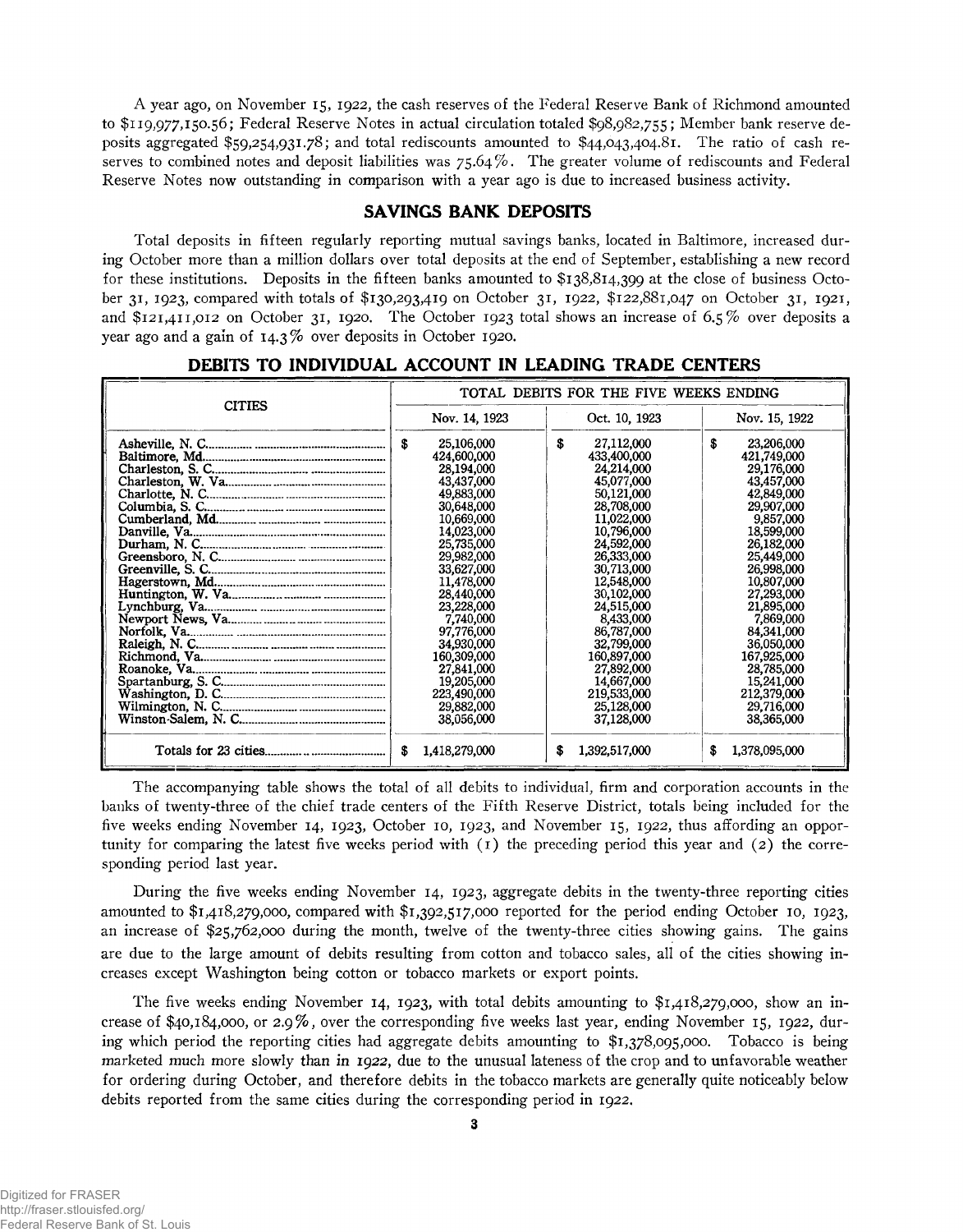A year ago, on November 15, 1922, the cash reserves of the Federal Reserve Bank of Richmond amounted to \$119,977,150.56; Federal Reserve Notes in actual circulation totaled \$98,982,755; Member bank reserve deposits aggregated \$59,254,931.78; and total rediscounts amounted to \$44,043,404.81. The ratio of cash reserves to combined notes and deposit liabilities was  $75.64\%$ . The greater volume of rediscounts and Federal Reserve Notes now outstanding in comparison with a year ago is due to increased business activity.

#### **SAVINGS BANK DEPOSITS**

Total deposits in fifteen regularly reporting mutual savings banks, located in Baltimore, increased during October more than a million dollars over total deposits at the end of September, establishing a new record for these institutions. Deposits in the fifteen banks amounted to \$138,814,399 at the close of business October 31, 1923, compared with totals of \$130,293,419 on October 31, 1922, \$122,881,047 on October 31, 1921, and \$121,411,012 on October 31, 1920. The October 1923 total shows an increase of 6.5% over deposits a year ago and a gain of 14.3% over deposits in October 1920.

| DEBITS TO INDIVIDUAL ACCOUNT IN LEADING TRADE CENTERS |  |  |  |  |  |  |  |  |
|-------------------------------------------------------|--|--|--|--|--|--|--|--|
|-------------------------------------------------------|--|--|--|--|--|--|--|--|

| <b>CITIES</b>                       | TOTAL DEBITS FOR THE FIVE WEEKS ENDING                                                                                                                                                                                                                                                                                  |                                                                                                                                                                                                                                                                                                                          |                                                                                                                                                                                                                                                                                                                         |  |  |  |  |
|-------------------------------------|-------------------------------------------------------------------------------------------------------------------------------------------------------------------------------------------------------------------------------------------------------------------------------------------------------------------------|--------------------------------------------------------------------------------------------------------------------------------------------------------------------------------------------------------------------------------------------------------------------------------------------------------------------------|-------------------------------------------------------------------------------------------------------------------------------------------------------------------------------------------------------------------------------------------------------------------------------------------------------------------------|--|--|--|--|
|                                     | Nov. 14, 1923                                                                                                                                                                                                                                                                                                           | Oct. 10, 1923                                                                                                                                                                                                                                                                                                            | Nov. 15, 1922                                                                                                                                                                                                                                                                                                           |  |  |  |  |
| Charleston, S. C.<br>Lynchburg, Va. | 25,106,000<br>S<br>424,600,000<br>28,194,000<br>43,437,000<br>49,883,000<br>30,648,000<br>10,669,000<br>14,023,000<br>25,735,000<br>29,982,000<br>33,627,000<br>11,478,000<br>28,440,000<br>23,228,000<br>7,740,000<br>97,776,000<br>34,930,000<br>160,309,000<br>27,841,000<br>19,205,000<br>223,490,000<br>29,882,000 | \$<br>27,112,000<br>433,400,000<br>24,214,000<br>45,077,000<br>50,121,000<br>28,708,000<br>11,022,000<br>10,796,000<br>24,592,000<br>26,333,000<br>30,713,000<br>12,548,000<br>30,102,000<br>24,515,000<br>8,433,000<br>86,787,000<br>32,799,000<br>160,897,000<br>27,892,000<br>14,667,000<br>219,533,000<br>25,128,000 | \$<br>23,206,000<br>421,749,000<br>29,176,000<br>43,457,000<br>42,849,000<br>29,907,000<br>9,857,000<br>18,599,000<br>26,182,000<br>25,449,000<br>26,998,000<br>10,807,000<br>27,293,000<br>21,895,000<br>7,869,000<br>84,341,000<br>36,050,000<br>167,925,000<br>28,785,000<br>15,241,000<br>212,379,000<br>29,716,000 |  |  |  |  |
|                                     | 38,056,000                                                                                                                                                                                                                                                                                                              | 37,128,000                                                                                                                                                                                                                                                                                                               | 38,365,000                                                                                                                                                                                                                                                                                                              |  |  |  |  |
|                                     | s<br>1,418,279,000                                                                                                                                                                                                                                                                                                      | 1,392,517,000<br>s                                                                                                                                                                                                                                                                                                       | 1,378,095,000<br>s                                                                                                                                                                                                                                                                                                      |  |  |  |  |

The accompanying table shows the total of all debits to individual, firm and corporation accounts in the banks of twenty-three of the chief trade centers of the Fifth Reserve District, totals being included for the five weeks ending November 14, 1923, October 10, 1923, and November 15, 1922, thus affording an opportunity for comparing the latest five weeks period with  $(1)$  the preceding period this year and  $(2)$  the corresponding period last year.

During the five weeks ending November 14, 1923, aggregate debits in the twenty-three reporting cities amounted to \$1,418,279,000, compared with \$1,392,517,000 reported for the period ending October 10, 1923, an increase of \$25,762,000 during the month, twelve of the twenty-three cities showing gains. The gains are due to the large amount of debits resulting from cotton and tobacco sales, all of the cities showing increases except Washington being cotton or tobacco markets or export points.

The five weeks ending November 14, 1923, with total debits amounting to \$1,418,279,000, show an increase of \$40,184,000, or 2.9%, over the corresponding five weeks last year, ending November 15, 1922, during which period the reporting cities had aggregate debits amounting to \$1,378,095,000. Tobacco is being marketed much more slowly than in 1922, due to the unusual lateness of the crop and to unfavorable weather for ordering during October, and therefore debits in the tobacco markets are generally quite noticeably below debits reported from the same cities during the corresponding period in 1922.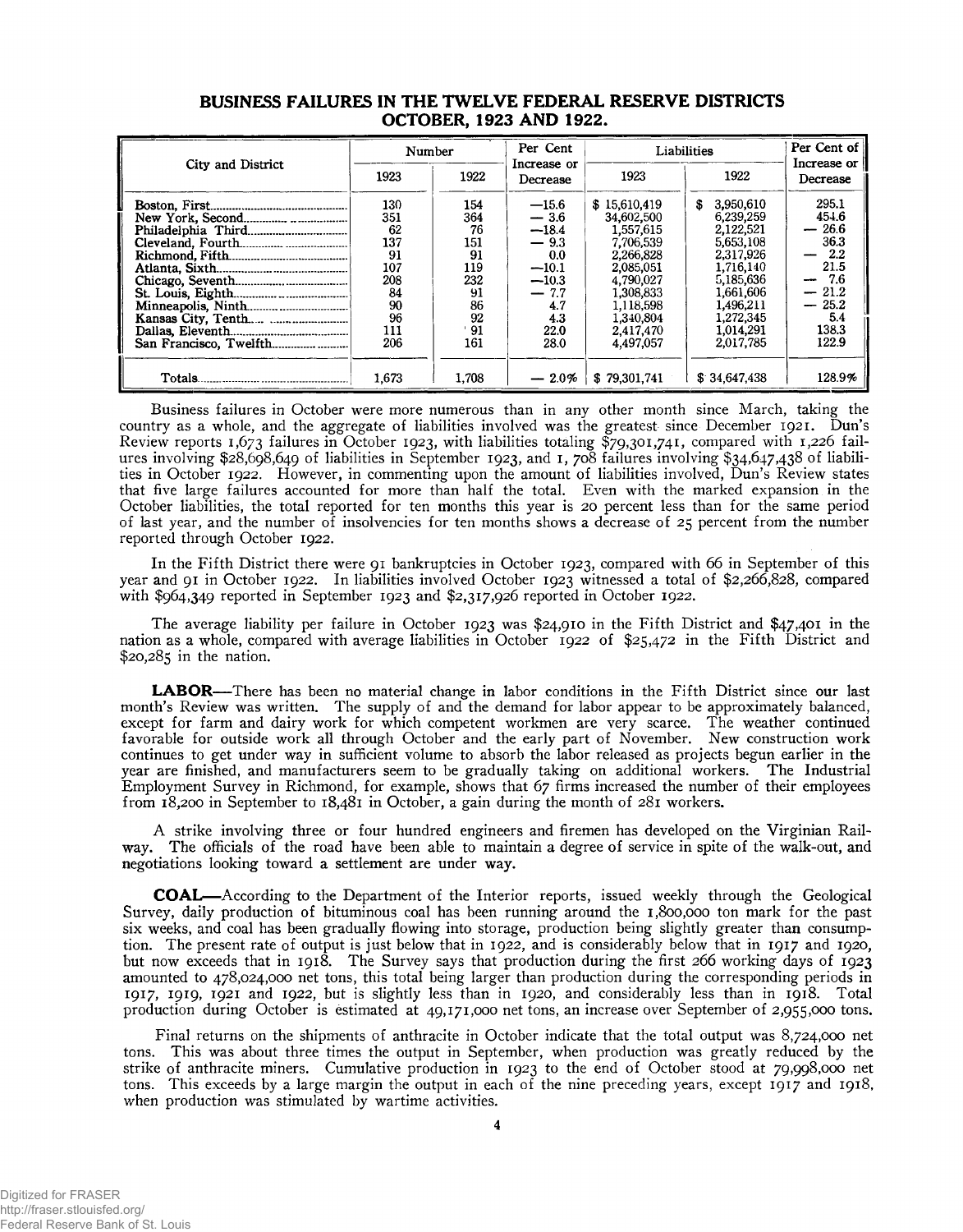|                   | Number |       | Per Cent                | Liabilities  | Per Cent of<br>Increase or |                                  |
|-------------------|--------|-------|-------------------------|--------------|----------------------------|----------------------------------|
| City and District | 1923   | 1922  | Increase or<br>Decrease | 1923         | 1922                       | Decrease                         |
|                   | 130    | 154   | $-15.6$                 | \$15,610,419 | 3,950,610<br>s             | 295.1                            |
|                   | 351    | 364   | $-3.6$                  | 34,602,500   | 6,239,259                  | 454.6                            |
|                   | 62     | 76    | $-18.4$                 | 1,557,615    | 2,122,521                  | 26.6<br>$\overline{\phantom{m}}$ |
|                   | 137    | 151   | $-9.3$                  | 7.706.539    | 5,653,108                  | 36.3                             |
|                   | 91     | 91    | 0.0                     | 2,266,828    | 2,317,926                  | $2.2\,$                          |
|                   | 107    | 119   | $-10.1$                 | 2.085.051    | 1.716.140                  | 21.5                             |
|                   | 208    | 232   | $-10.3$                 | 4.790,027    | 5,185,636                  | 7.6<br>$\overline{\phantom{a}}$  |
|                   | 84     | 91    | $-7.7$                  | 1,308,833    | 1,661,606                  | 21.2<br>-                        |
|                   | 90     | 86    | 4.7                     | 1,118,598    | 1,496,211                  | 25.2<br>$\overline{\phantom{0}}$ |
|                   | 96     | 92    | 4.3                     | 1.340,804    | 1.272.345                  | 5.4                              |
|                   | 111    | -91   | 22.0                    | 2,417,470    | 1.014.291                  | 138.3                            |
|                   | 206    | 161   | 28.0                    | 4,497,057    | 2.017.785                  | 122.9                            |
|                   |        |       |                         |              |                            |                                  |
| Totals.           | 1.673  | 1.708 | $-2.0\%$                | \$79,301,741 | \$34.647.438               | 128.9%                           |

#### **BUSINESS FAILURES IN THE TWELVE FEDERAL RESERVE DISTRICTS OCTOBER, 1923 AND 1922.**

Business failures in October were more numerous than in any other month since March, taking the country as a whole, and the aggregate of liabilities involved was the greatest since December 1921. Dun's Review reports 1,673 failures in October 1923, with liabilities totaling \$79,301,741, compared with 1,226 failures involving \$28,698,649 of liabilities in September 1923, and 1, 708 failures involving \$34,647,438 of liabilities in October 1922. However, in commenting upon the amount of liabilities involved, Dun's Review states that five large failures accounted for more than half the total. Even with the marked expansion in the October liabilities, the total reported for ten months this year is 20 percent less than for the same period of last year, and the number of insolvencies for ten months shows a decrease of 25 percent from the number reported through October 1922.

In the Fifth District there were 91 bankruptcies in October 1923, compared with 66 in September of this year and 91 in October 1922. In liabilities involved October 1923 witnessed a total of \$2,266,828, compared with \$964,349 reported in September 1923 and \$2,317,926 reported in October 1922.

The average liability per failure in October 1923 was \$24,910 in the Fifth District and \$47,401 in the nation as a whole, compared with average liabilities in October 1922 of \$25,472 in the Fifth District and \$20,285 in the nation.

**LABOR**— There has been no material change in labor conditions in the Fifth District since our last month's Review was written. The supply of and the demand for labor appear to be approximately balanced, except for farm and dairy work for which competent workmen are very scarce. The weather continued favorable for outside work all through October and the early part of November. New construction work continues to get under way in sufficient volume to absorb the labor released as projects begun earlier in the year are finished, and manufacturers seem to be gradually taking on additional workers. The Industrial Employment Survey in Richmond, for example, shows that 67 firms increased the number of their employees from 18,200 in September to  $18,481$  in October, a gain during the month of  $281$  workers.

A strike involving three or four hundred engineers and firemen has developed on the Virginian Railway. The officials of the road have been able to maintain a degree of service in spite of the walk-out, and negotiations looking toward a settlement are under way.

**COAL**— According to the Department of the Interior reports, issued weekly through the Geological Survey, daily production of bituminous coal has been running around the 1,800,000 ton mark for the past six weeks, and coal has been gradually flowing into storage, production being slightly greater than consumption. The present rate of output is just below that in 1922, and is considerably below that in 1917 and 1920, but now exceeds that in 1918. The Survey says that production during the first 266 working days of 1923 amounted to 478,024,000 net tons, this total being larger than production during the corresponding periods in 1917, 1919, 1921 and 1922, but is slightly less than in 1920, and considerably less than in 1918. Total production during October is estimated at 49,171,000 net tons, an increase over September of 2,955,000 tons.

Final returns on the shipments of anthracite in October indicate that the total output was 8,724,000 net tons. This was about three times the output in September, when production was greatly reduced by the strike of anthracite miners. Cumulative production in 1923 to the end of October stood at 79,998,000 net tons. This exceeds by a large margin the output in each of the nine preceding years, except 1917 and 1918, when production was stimulated by wartime activities.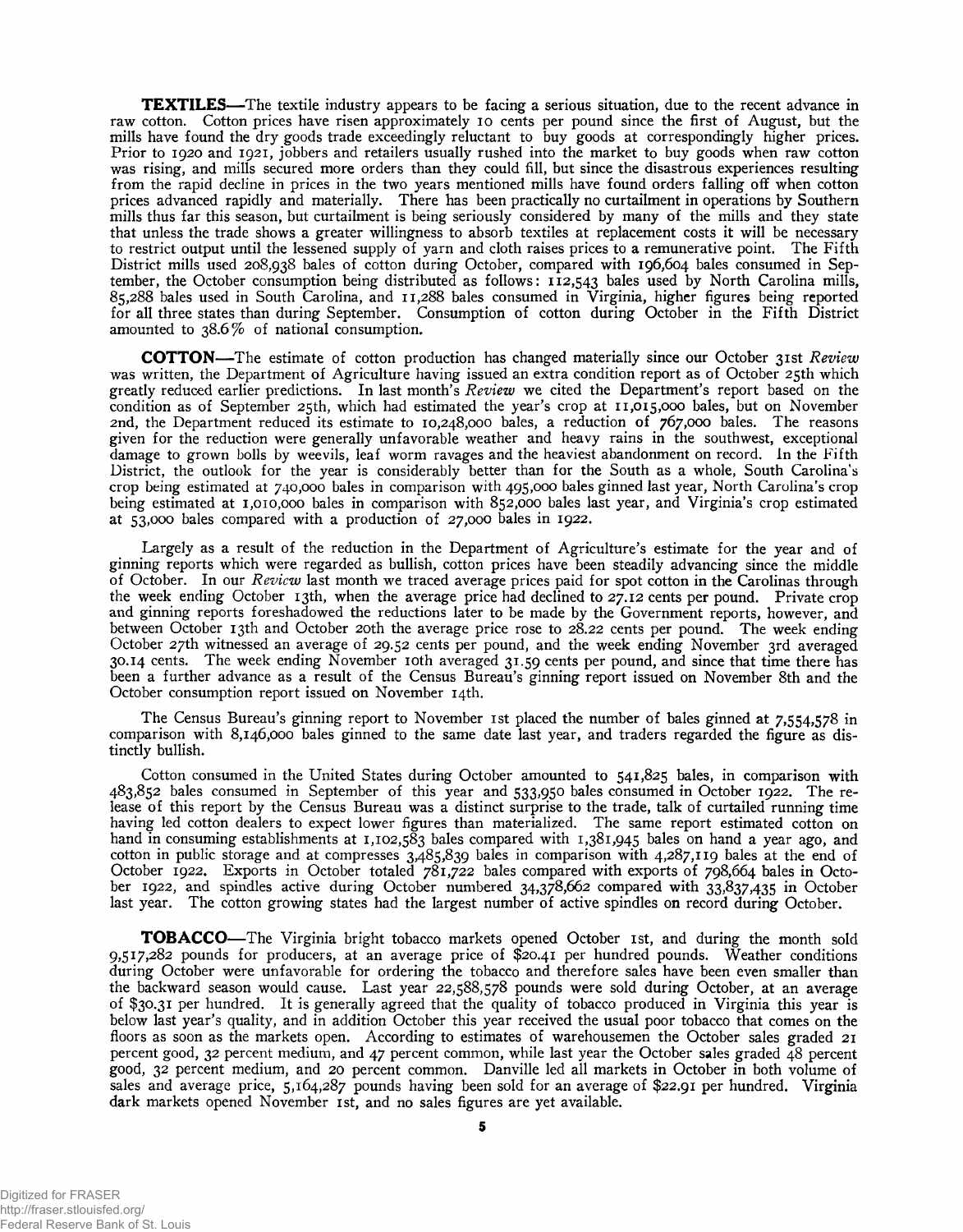**TEXTILES**— The textile industry appears to be facing a serious situation, due to the recent advance in raw cotton. Cotton prices have risen approximately 10 cents per pound since the first of August, but the mills have found the dry goods trade exceedingly reluctant to buy goods at correspondingly higher prices. Prior to 1920 and 1921, jobbers and retailers usually rushed into the market to buy goods when raw cotton was rising, and mills secured more orders than they could fill, but since the disastrous experiences resulting from the rapid decline in prices in the two years mentioned mills have found orders falling off when cotton prices advanced rapidly and materially. There has been practically no curtailment in operations by Southern mills thus far this season, but curtailment is being seriously considered by many of the mills and they state that unless the trade shows a greater willingness to absorb textiles at replacement costs it will be necessary to restrict output until the lessened supply of yarn and cloth raises prices to a remunerative point. The Fifth District mills used 208,938 bales of cotton during October, compared with 196,604 bales consumed in September, the October consumption being distributed as follows: 112,543 bales used by North Carolina mills, 85,288 bales used in South Carolina, and 11,288 bales consumed in Virginia, higher figures being reported for all three states than during September. Consumption of cotton during October in the Fifth District amounted to 38.6% of national consumption.

**COTTON—** The estimate of cotton production has changed materially since our October 31st *Review* was written, the Department of Agriculture having issued an extra condition report as of October 25th which greatly reduced earlier predictions. In last month's *Review* we cited the Department's report based on the condition as of September 25th, which had estimated the year's crop at 11,015,000 bales, but on November 2nd, the Department reduced its estimate to 10,248,000 bales, a reduction of 767,000 bales. The reasons given for the reduction were generally unfavorable weather and heavy rains in the southwest, exceptional damage to grown bolls by weevils, leaf worm ravages and the heaviest abandonment on record. In the Fifth District, the outlook for the year is considerably better than for the South as a whole, South Carolina's crop being estimated at 740,000 bales in comparison with 495,000 bales ginned last year, North Carolina's crop being estimated at 1,010,000 bales in comparison with 852,000 bales last year, and Virginia's crop estimated at 53,000 bales compared with a production of 27,000 bales in 1922.

Largely as a result of the reduction in the Department of Agriculture's estimate for the year and of ginning reports which were regarded as bullish, cotton prices have been steadily advancing since the middle of October. In our *Review* last month we traced average prices paid for spot cotton in the Carolinas through the week ending October 13th, when the average price had declined to 27.12 cents per pound. Private crop and ginning reports foreshadowed the reductions later to be made by the Government reports, however, and between October 13th and October 20th the average price rose to 28.22 cents per pound. The week ending October 27th witnessed an average of 29.52 cents per pound, and the week ending November 3rd averaged 30.14 cents. The week ending November 10th averaged 31.59 cents per pound, and since that time there has been a further advance as a result of the Census Bureau's ginning report issued on November 8th and the October consumption report issued on November 14th.

The Census Bureau's ginning report to November 1st placed the number of bales ginned at 7,554,578 in comparison with 8,146,000 bales ginned to the same date last year, and traders regarded the figure as distinctly bullish.

Cotton consumed in the United States during October amounted to 541,825 bales, in comparison with 483,852 bales consumed in September of this year and 533,950 bales consumed in October 1922. The release of this report by the Census Bureau was a distinct surprise to the trade, talk of curtailed running time having led cotton dealers to expect lower figures than materialized. The same report estimated cotton on hand in consuming establishments at 1,102,583 bales compared with 1,381,945 bales on hand a year ago, and cotton in public storage and at compresses 3,485,839 bales in comparison with 4,287,119 bales at the end of October 1922. Exports in October totaled 781,722 bales compared with exports of 798,664 bales in October 1922, and spindles active during October numbered 34,378,662 compared with 33,837,435 in October last year. The cotton growing states had the largest number of active spindles on record during October.

**TOBACCO**— The Virginia bright tobacco markets opened October 1st, and during the month sold 9,517,282 pounds for producers, at an average price of \$20.41 per hundred pounds. Weather conditions during October were unfavorable for ordering the tobacco and therefore sales have been even smaller than the backward season would cause. Last year 22,588,578 pounds were sold during October, at an average of \$30.31 per hundred. It is generally agreed that the quality of tobacco produced in Virginia this year is below last year's quality, and in addition October this year received the usual poor tobacco that comes on the floors as soon as the markets open. According to estimates of warehousemen the October sales graded 21 percent good, 32 percent medium, and 47 percent common, while last year the October sales graded 48 percent good, 32 percent medium, and 20 percent common. Danville led all markets in October in both volume of sales and average price, 5,164,287 pounds having been sold for an average of \$22.91 per hundred. Virginia dark markets opened November 1st, and no sales figures are yet available.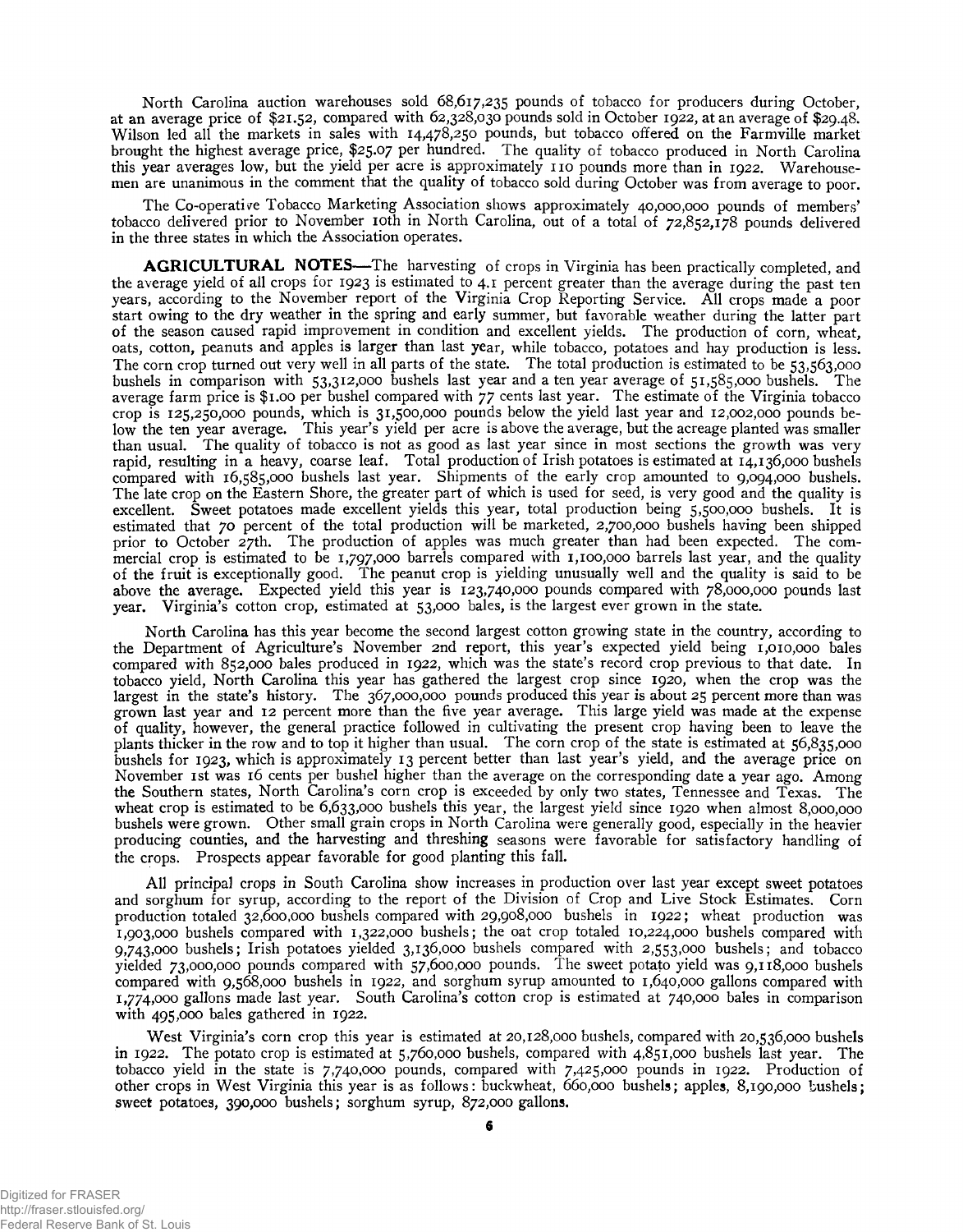North Carolina auction warehouses sold 68,617,235 pounds of tobacco for producers during October, at an average price of \$21.52, compared with 62,328,030 pounds sold in October 1922, at an average of \$29.48. Wilson led all the markets in sales with 14,478,250 pounds, but tobacco offered on the Farmville market brought the highest average price, \$25.07 per hundred. The quality of tobacco produced in North Carolina this year averages low, but the yield per acre is approximately 110 pounds more than in 1922. Warehousemen are unanimous in the comment that the quality of tobacco sold during October was from average to poor.

The Co-operative Tobacco Marketing Association shows approximately 40,000,000 pounds of members' tobacco delivered prior to November 10th in North Carolina, out of a total of 72,852,178 pounds delivered in the three states in which the Association operates.

**AGRICULTURAL NOTES—** The harvesting of crops in Virginia has been practically completed, and the average yield of all crops for 1923 is estimated to 4.1 percent greater than the average during the past ten years, according to the November report of the Virginia Crop Reporting Service. All crops made a poor start owing to the dry weather in the spring and early summer, but favorable weather during the latter part of the season caused rapid improvement in condition and excellent yields. The production of corn, wheat, oats, cotton, peanuts and apples is larger than last year, while tobacco, potatoes and hay production is less. The corn crop turned out very well in all parts of the state. The total production is estimated to be 53,563,000 bushels in comparison with 53,312,000 bushels last year and a ten year average of 51,585,000 bushels. The average farm price is \$1.00 per bushel compared with 77 cents last year. The estimate of the Virginia tobacco crop is 125,250,000 pounds, which is 31,500,000 pounds below the yield last year and 12,002,000 pounds below the ten year average. This year's yield per acre is above the average, but the acreage planted was smaller than usual. The quality of tobacco is not as good as last year since in most sections the growth was very rapid, resulting in a heavy, coarse leaf. Total production of Irish potatoes is estimated at 14,136,000 bushels compared with 16,585,000 bushels last year. Shipments of the early crop amounted to 9,094,000 bushels. The late crop on the Eastern Shore, the greater part of which is used for seed, is very good and the quality is excellent. Sweet potatoes made excellent yields this year, total production being 5,500,000 bushels. It is estimated that 70 percent of the total production will be marketed, 2,700,000 bushels having been shipped prior to October 27th. The production of apples was much greater than had been expected. The commercial crop is estimated to be 1,797,000 barrels compared with 1,100,000 barrels last year, and the quality of the fruit is exceptionally good. The peanut crop is yielding unusually well and the quality is said to be above the average. Expected yield this year is 123,740,000 pounds compared with 78,000,000 pounds last year. Virginia's cotton crop, estimated at 53,000 bales, is the largest ever grown in the state.

North Carolina has this year become the second largest cotton growing state in the country, according to the Department of Agriculture's November 2nd report, this year's expected yield being 1,010,000 bales compared with 852,000 bales produced in 1922, which was the state's record crop previous to that date. In tobacco yield, North Carolina this year has gathered the largest crop since 1920, when the crop was the largest in the state's history. The 367,000,000 pounds produced this year is about 25 percent more than was grown last year and 12 percent more than the five year average. This large yield was made at the expense of quality, however, the general practice followed in cultivating the present crop having been to leave the plants thicker in the row and to top it higher than usual. The corn crop of the state is estimated at 56,835,000 bushels for 1923, which is approximately 13 percent better than last year's yield, and the average price on November 1st was 16 cents per bushel higher than the average on the corresponding date a year ago. Among the Southern states, North Carolina's corn crop is exceeded by only two states, Tennessee and Texas. The wheat crop is estimated to be 6,633,000 bushels this year, the largest yield since 1920 when almost 8,000,000 bushels were grown. Other small grain crops in North Carolina were generally good, especially in the heavier producing counties, and the harvesting and threshing seasons were favorable for satisfactory handling of the crops. Prospects appear favorable for good planting this fall.

All principal crops in South Carolina show increases in production over last year except sweet potatoes and sorghum for syrup, according to the report of the Division of Crop and Live Stock Estimates. Corn production totaled 32,600,000 bushels compared with 29,908,000 bushels in 1922; wheat production was 1.903.000 bushels compared with 1,322,000 bushels; the oat crop totaled 10,224,000 bushels compared with 9.743.000 bushels; Irish potatoes yielded 3,136,000 bushels compared with 2,553,000 bushels; and tobacco yielded 73,000,000 pounds compared with 57,600,000 pounds. The sweet potato yield was 9,118,000 bushels compared with 9,568,000 bushels in 1922, and sorghum syrup amounted to 1,640,000 gallons compared with 1.774.000 gallons made last year. South Carolina's cotton crop is estimated at 740,000 bales in comparison with 495,000 bales gathered in 1922.

West Virginia's corn crop this year is estimated at 20,128,000 bushels, compared with 20,536,000 bushels in 1922. The potato crop is estimated at 5,760,000 bushels, compared with 4,851,000 bushels last year. The tobacco yield in the state is 7,740,000 pounds, compared with 7,425,000 pounds in 1922. Production of other crops in West Virginia this year is as follows: buckwheat, 660,000 bushels; apples, 8,190,000 bushels; sweet potatoes, 390,000 bushels; sorghum syrup, 872,000 gallons.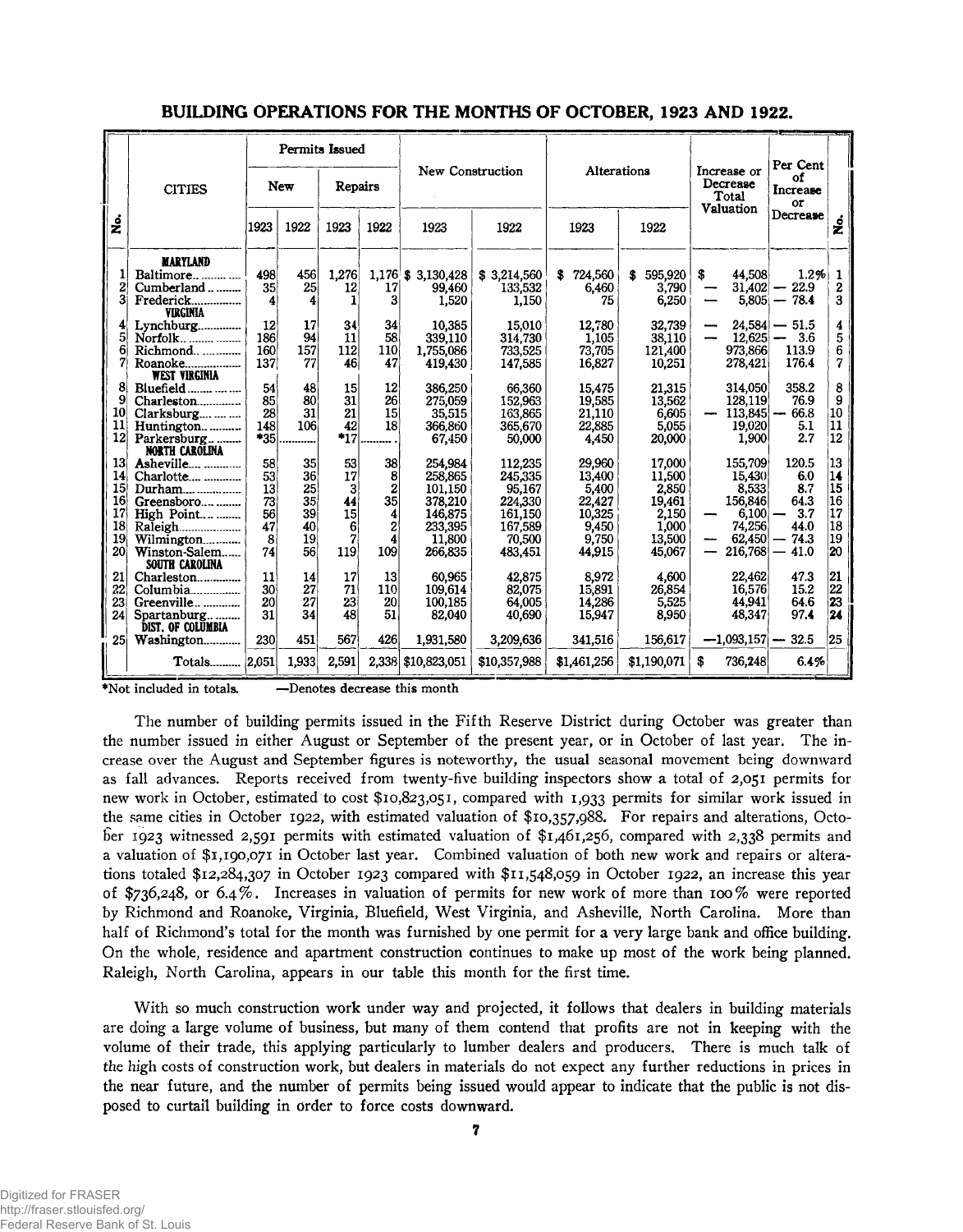|                       |                                         |          |            | Permits Issued |                 |                      |                                                      |                 | Per Cent        |           |                     |                      |          |
|-----------------------|-----------------------------------------|----------|------------|----------------|-----------------|----------------------|------------------------------------------------------|-----------------|-----------------|-----------|---------------------|----------------------|----------|
|                       | <b>CITIES</b>                           |          | <b>New</b> | Repairs        |                 |                      | New Construction<br>Increase or<br>Decrease<br>Total |                 | Alterations     |           |                     | οf<br>Increase<br>or |          |
| $\dot{\mathbf{z}}$    |                                         | 1923     | 1922       | 1923           | 1922            | 1923                 | 1922                                                 | 1922<br>1923    |                 | Valuation |                     | Decrease             | ź        |
|                       | <b>MARYLAND</b>                         |          |            |                |                 |                      |                                                      |                 |                 |           |                     |                      |          |
|                       | Baltimore                               | 498      | 456        | 1.276          |                 | $1.176$ \$ 3.130.428 | \$3,214,560                                          | 724,560<br>S    | \$595,920       | s.        | 44.508              | 1.2%                 | 1        |
| 2<br>3                | Cumberland                              | 35       | 25         | 12<br>1        | 17<br>3         | 99.460               | 133,532                                              | 6,460           | 3,790           |           | 31,402              | $-22.9$              | 2<br>3   |
|                       | Frederick<br><b>VIRGINIA</b>            | 4        | 4          |                |                 | 1,520                | 1.150                                                | 75              | 6.250           |           |                     | $5,805 - 78.4$       |          |
|                       | Lynchburg                               | 12       | 17         | 34             | 34              | 10,385               | 15.010                                               | 12,780          | 32,739          | —         | 24.584              | $-51.5$              | 4        |
| 5                     | Norfolk                                 | 186      | 94         | 11             | 58              | 339,110              | 314.730                                              | 1,105           | 38,110          |           | 12,625              | 3.6                  | 5        |
| 6                     | Richmond                                | 160      | 157        | 112            | 110             | 1,755,086            | 733,525                                              | 73,705          | 121,400         |           | 973,866             | 113.9                | 6        |
| 7                     | Roanoke<br><b>WEST VIRGINIA</b>         | 137      | 77         | 46             | 47              | 419,430              | 147,585                                              | 16,827          | 10,251          |           | 278,421             | 176.4                | 7        |
|                       | Bluefield                               | 54       | 48         | 15             | 12              | 386,250              | 66,360                                               | 15,475          | 21,315          |           | 314,050             | 358.2                | 8        |
| 9                     | Charleston                              | 85       | 80         | 31             | 26 <sup>1</sup> | 275,059              | 152.963                                              | 19,585          | 13.562          |           | 128,119             | 76.9                 | 9        |
| 10 <sup>1</sup>       | Clarksburg                              | 28       | 31         | 21             | 15              | 35,515               | 163,865                                              | 21,110          | 6,605           |           | 113,845             | 66.8                 | 10       |
| 11                    | Huntington                              | 148      | 106        | 42             | 18              | 366,860              | 365,670                                              | 22,885          | 5,055           |           | 19,020              | 5.1                  | 11       |
| 12                    | Parkersburg                             | $*35$    |            | $*_{17}$       |                 | 67,450               | 50,000                                               | 4,450           | 20,000          |           | 1,900               | 2.7                  | 12       |
|                       | <b>NORTH CAROLINA</b>                   |          |            |                |                 |                      |                                                      |                 |                 |           |                     |                      |          |
| 13                    | Asheville                               | 58       | 35<br>36   | 53             | 38              | 254.984              | 112,235                                              | 29,960          | 17.000          |           | 155,709             | 120.5                | 13<br>14 |
| 14<br>15 <sup>1</sup> | Charlotte                               | 53<br>13 | 25         | 17<br>3        | 8<br>2          | 258,865<br>101,150   | 245,335<br>95,167                                    | 13.400          | 11,500<br>2,850 |           | 15,430<br>8,533     | 6.0<br>8.7           | 15       |
| 16                    | Durham<br>Greensboro                    | 73       | 35         | 44             | 35              | 378,210              | 224,330                                              | 5,400<br>22,427 | 19,461          |           | 156,846             | 64.3                 | 16       |
| 17                    | High Point                              | 56       | 39         | 15             | 4               | 146,875              | 161,150                                              | 10.325          | 2.150           |           | 6,100               | 3.7                  | '17      |
| 18                    | Raleigh                                 | 47       | 40         | 6              | 2               | 233,395              | 167,589                                              | 9,450           | 1.000           |           | 74,256              | 44.0                 | 18       |
| 19 <sup>°</sup>       | Wilmington                              | 8        | 19         | 7              | 4               | 11,800               | 70,500                                               | 9,750           | 13.500          |           | 62,450              | 74.3                 | 19       |
| 20                    | Winston-Salem                           | 74       | 56         | 119            | 109             | 266,835              | 483,451                                              | 44.915          | 45,067          | —         | 216,768             | 41.0                 | 20       |
|                       | SOUTH CAROLINA                          |          |            |                |                 |                      |                                                      |                 |                 |           |                     |                      |          |
| 21                    | Charleston                              | 11       | 14         | 17             | 13              | 60,965               | 42,875                                               | 8,972           | 4,600           |           | 22,462              | 47.3                 | 21       |
| 22                    | Columbia                                | 30       | 27         | 71             | 110             | 109.614              | 82,075                                               | 15,891          | 26.854          |           | 16.576              | 15.2                 | 22       |
| 23i                   | Greenville                              | 20       | 27         | 23             | 20              | 100,185              | 64,005                                               | 14,286          | 5,525           |           | 44.941              | 64.6                 | 23       |
| 24                    | Spartanburg<br><b>DIST. OF COLUMBIA</b> | 31       | 34         | 48             | 51              | 82,040               | 40.690                                               | 15,947          | 8.950           |           | 48,347              | 97.4                 | 24       |
| 25 <sup>1</sup>       | Washington                              | 230      | 451        | 567            | 426             | 1,931,580            | 3,209,636                                            | 341,516         | 156,617         |           | $-1,093,157 - 32.5$ |                      | 25       |
|                       | Totals                                  | 2.051    | 1,933      | 2.591          |                 | 2.338 \$10,823,051   | \$10,357,988                                         | \$1.461,256     | \$1.190,071     | S         | 736,248             | 6.4%                 |          |

#### **BUILDING OPERATIONS FOR THE MONTHS OF OCTOBER, 1923 AND 1922.**

♦Not included in totals. —Denotes decrease this month

The number of building permits issued in the Fifth Reserve District during October was greater than the number issued in either August or September of the present year, or in October of last year. The increase over the August and September figures is noteworthy, the usual seasonal movement being downward as fall advances. Reports received from twenty-five building inspectors show a total of 2,051 permits for new work in October, estimated to cost \$10,823,051, compared with 1,933 permits for similar work issued in the same cities in October 1922, with estimated valuation of \$10,357,988. For repairs and alterations, October 1923 witnessed 2,591 permits with estimated valuation of \$1,461,256, compared with 2,338 permits and a valuation of \$1,190,071 in October last year. Combined valuation of both new work and repairs or alterations totaled \$12,284,307 in October 1923 compared with \$11,548,059 in October 1922, an increase this year of \$736,248, or 6.4%. Increases in valuation of permits for new work of more than 100% were reported by Richmond and Roanoke, Virginia, Bluefield, West Virginia, and Asheville, North Carolina. More than half of Richmond's total for the month was furnished by one permit for a very large bank and office building. On the whole, residence and apartment construction continues to make up most of the work being planned. Raleigh, North Carolina, appears in our table this month for the first time.

With so much construction work under way and projected, it follows that dealers in building materials are doing a large volume of business, but many of them contend that profits are not in keeping with the volume of their trade, this applying particularly to lumber dealers and producers. There is much talk of the high costs of construction work, but dealers in materials do not expect any further reductions in prices in the near future, and the number of permits being issued would appear to indicate that the public is not disposed to curtail building in order to force costs downward.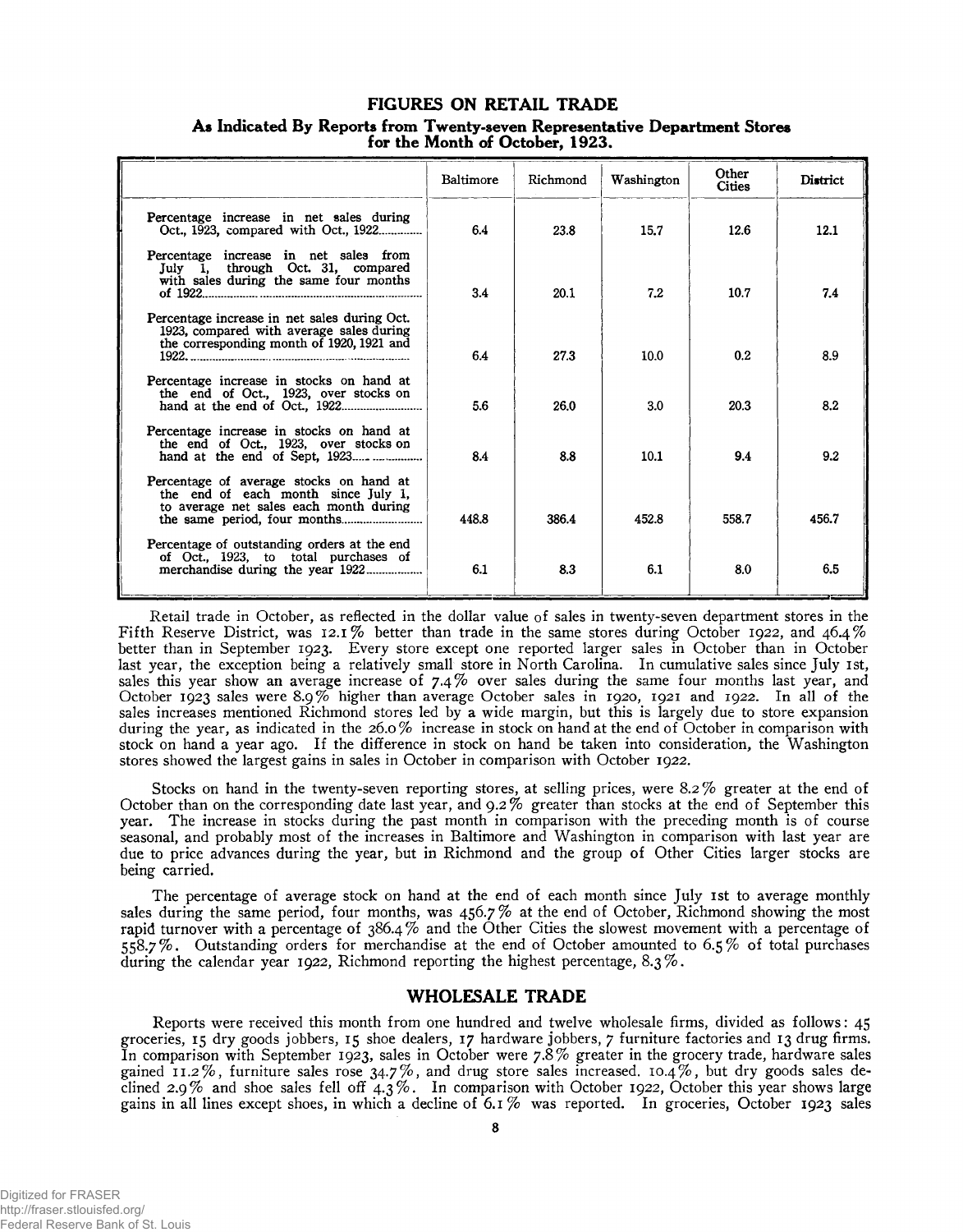#### **FIGURES ON RETAIL TRADE**

|                                                                                                                                       | Baltimore | Richmond | Washington | Other<br>Cities | District |
|---------------------------------------------------------------------------------------------------------------------------------------|-----------|----------|------------|-----------------|----------|
| Percentage increase in net sales during<br>Oct., 1923. compared with Oct., 1922                                                       | 64        | 23.8     | 15.7       | 12.6            | 12.1     |
| Percentage increase in net sales from<br>July 1, through Oct. 31, compared<br>with sales during the same four months                  | 3.4       | 20.1     | 7.2        | 10.7            | 7.4      |
| Percentage increase in net sales during Oct.<br>1923, compared with average sales during<br>the corresponding month of 1920, 1921 and | 64        | 27.3     | 10.0       | 0.2             | 8.9      |
| Percentage increase in stocks on hand at<br>the end of Oct., 1923, over stocks on                                                     | 5.6       | 26.0     | 3.0        | 20.3            | 8.2      |
| Percentage increase in stocks on hand at<br>the end of Oct., 1923, over stocks on<br>hand at the end of Sept, $1923$                  | 8.4       | 8.8      | 10.1       | 9.4             | 9.2      |
| Percentage of average stocks on hand at<br>the end of each month since July 1,<br>to average net sales each month during              | 448.8     | 386.4    | 452.8      | 558.7           | 456.7    |
| Percentage of outstanding orders at the end<br>of Oct., 1923, to total purchases of                                                   | 6.1       | 8.3      | 6.1        | 8.0             | 6.5      |

**A\* Indicated By Reports from Twenty-seven Representative Department Stores for the Month of October, 1923.**

Retail trade in October, as reflected in the dollar value of sales in twenty-seven department stores in the Fifth Reserve District, was 12.1% better than trade in the same stores during October 1922, and 46.4% better than in September 1923. Every store except one reported larger sales in October than in October last year, the exception being a relatively small store in North Carolina. In cumulative sales since July 1st, sales this year show an average increase of 7**.**4 **%** over sales during the same four months last year, and October 1923 sales were 8.9% higher than average October sales in 1920, 1921 and 1922. In all of the sales increases mentioned Richmond stores led by a wide margin, but this is largely due to store expansion during the year, as indicated in the 26.0 % increase in stock on hand at the end of October in comparison with stock on hand a year ago. If the difference in stock on hand be taken into consideration, the Washington stores showed the largest gains in sales in October in comparison with October 1922.

Stocks on hand in the twenty-seven reporting stores, at selling prices, were 8.2% greater at the end of October than on the corresponding date last year, and 9.2 % greater than stocks at the end of September this year. The increase in stocks during the past month in comparison with the preceding month is of course seasonal, and probably most of the increases in Baltimore and Washington in comparison with last year are due to price advances during the year, but in Richmond and the group of Other Cities larger stocks are being carried.

The percentage of average stock on hand at the end of each month since July 1st to average monthly sales during the same period, four months, was 456.7 % at the end of October, Richmond showing the most rapid turnover with a percentage of 386.4% and the Other Cities the slowest movement with a percentage of 558.7%. Outstanding orders for merchandise at the end of October amounted to 6.5% of total purchases during the calendar year 1922, Richmond reporting the highest percentage, 8.3 %.

#### **WHOLESALE TRADE**

Reports were received this month from one hundred and twelve wholesale firms, divided as follows: 45 groceries, 15 dry goods jobbers, 15 shoe dealers, 17 hardware jobbers, 7 furniture factories and 13 drug firms. In comparison with September 1923, sales in October were  $7.8\%$  greater in the grocery trade, hardware sales gained 11.2%, furniture sales rose  $34.7\%$ , and drug store sales increased. 10.4%, but dry goods sales declined 2.9% and shoe sales fell off  $4.3\%$ . In comparison with October 1922, October this year shows large gains in all lines except shoes, in which a decline of  $6.1\%$  was reported. In groceries, October 1923 sales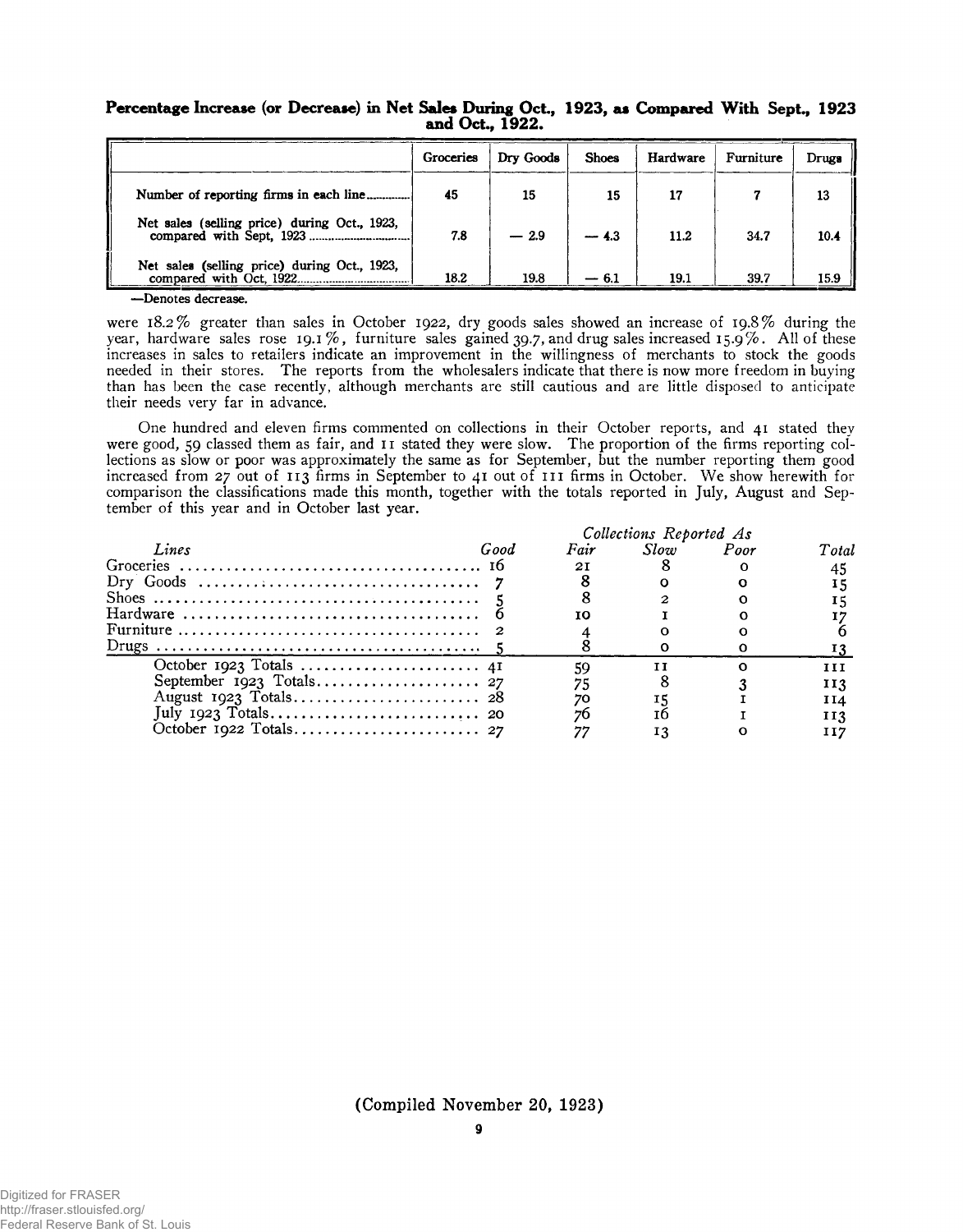|                                              | Groceries | Dry Goods | <b>Shoes</b> | Hardware | Furniture | Drugs |
|----------------------------------------------|-----------|-----------|--------------|----------|-----------|-------|
|                                              | 45        | 15        | 15           |          |           | 13    |
| Net sales (selling price) during Oct., 1923, | 7.8       | $-2.9$    | $-4.3$       | 11.2     | 34.7      | 10.4  |
| Net sales (selling price) during Oct., 1923, | 18.2      | 19.8      |              | 19.1     | 39.7      | 15.9  |

#### **Percentage Increase (or Decrease) in Net Sales During Oct., 1923, as Compared With Sept., 1923 and Oct., 1922.**

—Denotes decrease.

were 18.2% greater than sales in October 1922, dry goods sales showed an increase of 19.8% during the year, hardware sales rose 19.1%, furniture sales gained 39.7, and drug sales increased 15.9%. All of these increases in sales to retailers indicate an improvement in the willingness of merchants to stock the goods needed in their stores. The reports from the wholesalers indicate that there is now more freedom in buying than has been the case recently, although merchants are still cautious and are little disposed to anticipate their needs very far in advance.

One hundred and eleven firms commented on collections in their October reports, and 41 stated they were good, 59 classed them as fair, and 11 stated they were slow. The proportion of the firms reporting collections as slow or poor was approximately the same as for September, but the number reporting them good increased from 27 out of 113 firms in September to 41 out of 1 11 firms in October. We show herewith for comparison the classifications made this month, together with the totals reported in July, August and September of this year and in October last year.

|       | Collections Reported As |    |                |  |       |  |  |  |
|-------|-------------------------|----|----------------|--|-------|--|--|--|
| Lines | Good                    |    | Fair Slow Poor |  | Total |  |  |  |
|       |                         | 2I |                |  |       |  |  |  |
|       |                         |    |                |  |       |  |  |  |
|       |                         |    |                |  |       |  |  |  |
|       |                         |    |                |  |       |  |  |  |
|       |                         |    |                |  |       |  |  |  |
|       |                         |    |                |  |       |  |  |  |
|       |                         |    | TΤ             |  |       |  |  |  |
|       |                         |    |                |  | 113   |  |  |  |
|       |                         |    |                |  | 114   |  |  |  |
|       |                         |    |                |  | 113   |  |  |  |
|       |                         |    |                |  |       |  |  |  |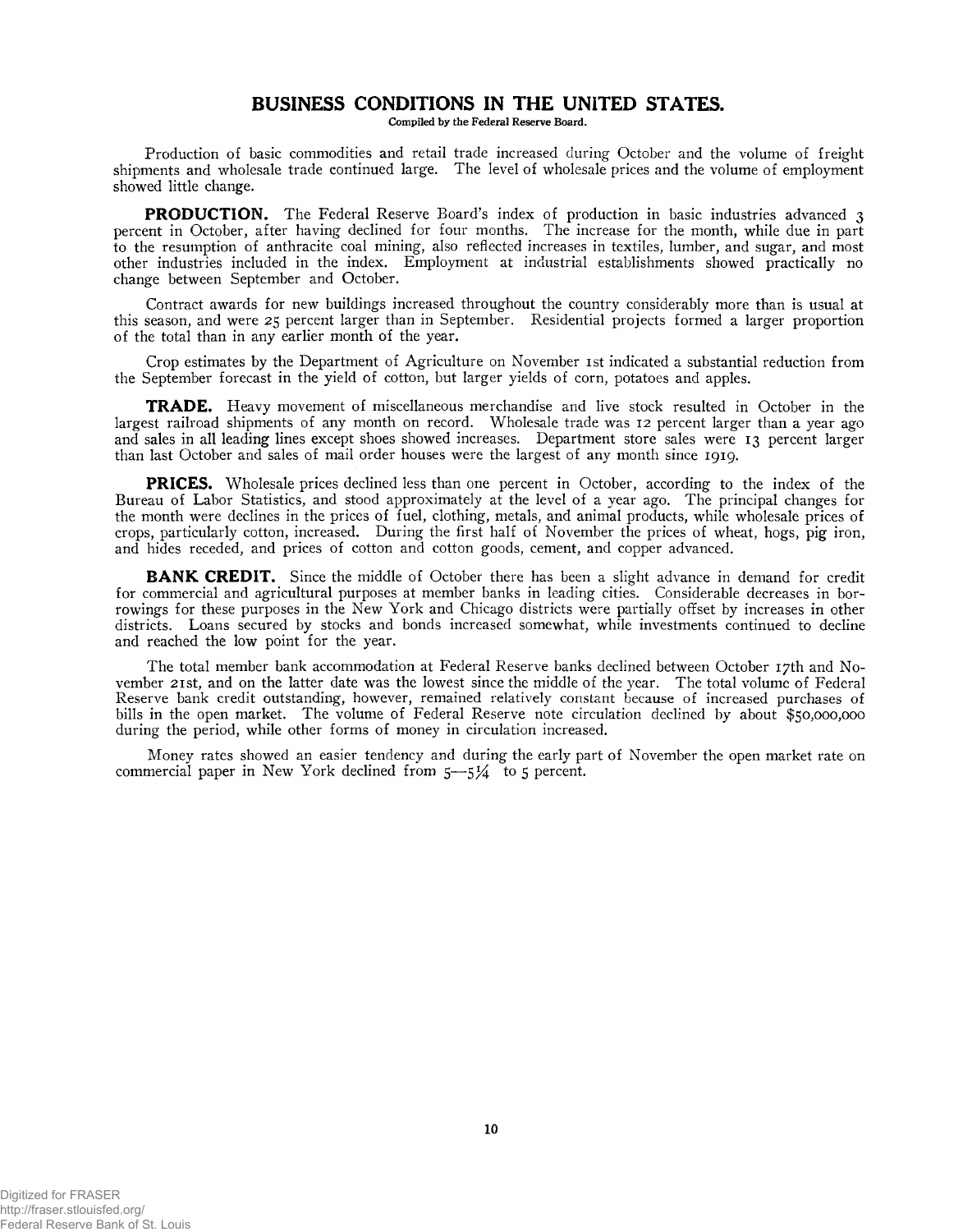#### **BUSINESS CONDITIONS IN THE UNITED STATES.**

Compiled by the Federal Reserve Board.

Production of basic commodities and retail trade increased during October and the volume of freight shipments and wholesale trade continued large. The level of wholesale prices and the volume of employment showed little change.

**PRODUCTION.** The Federal Reserve Board's index of production in basic industries advanced 3 percent in October, after having declined for four months. The increase for the month, while due in part to the resumption of anthracite coal mining, also reflected increases in textiles, lumber, and sugar, and most other industries included in the index. Employment at industrial establishments showed practically no change between September and October.

Contract awards for new buildings increased throughout the country considerably more than is usual at this season, and were 25 percent larger than in September. Residential projects formed a larger proportion of the total than in any earlier month of the year.

Crop estimates by the Department of Agriculture on November 1st indicated a substantial reduction from the September forecast in the yield of cotton, but larger yields of corn, potatoes and apples.

**TRADE.** Heavy movement of miscellaneous merchandise and live stock resulted in October in the largest railroad shipments of any month on record. Wholesale trade was 12 percent larger than a year ago and sales in all leading lines except shoes showed increases. Department store sales were 13 percent larger than last October and sales of mail order houses were the largest of any month since 1919.

**PRICES.** Wholesale prices declined less than one percent in October, according to the index of the Bureau of Labor Statistics, and stood approximately at the level of a year ago. The principal changes for the month were declines in the prices of fuel, clothing, metals, and animal products, while wholesale prices of crops, particularly cotton, increased. During the first half of November the prices of wheat, hogs, pig iron, and hides receded, and prices of cotton and cotton goods, cement, and copper advanced.

**BANK CREDIT.** Since the middle of October there has been a slight advance in demand for credit for commercial and agricultural purposes at member banks in leading cities. Considerable decreases in borrowings for these purposes in the New York and Chicago districts were partially offset by increases in other districts. Loans secured by stocks and bonds increased somewhat, while investments continued to decline and reached the low point for the year.

The total member bank accommodation at Federal Reserve banks declined between October 17th and November 21st, and on the latter date was the lowest since the middle of the year. The total volume of Federal Reserve bank credit outstanding, however, remained relatively constant because of increased purchases of bills in the open market. The volume of Federal Reserve note circulation declined by about \$50,000,000 during the period, while other forms of money in circulation increased.

Money rates showed an easier tendency and during the early part of November the open market rate on commercial paper in New York declined from  $5-5\frac{1}{4}$  to 5 percent.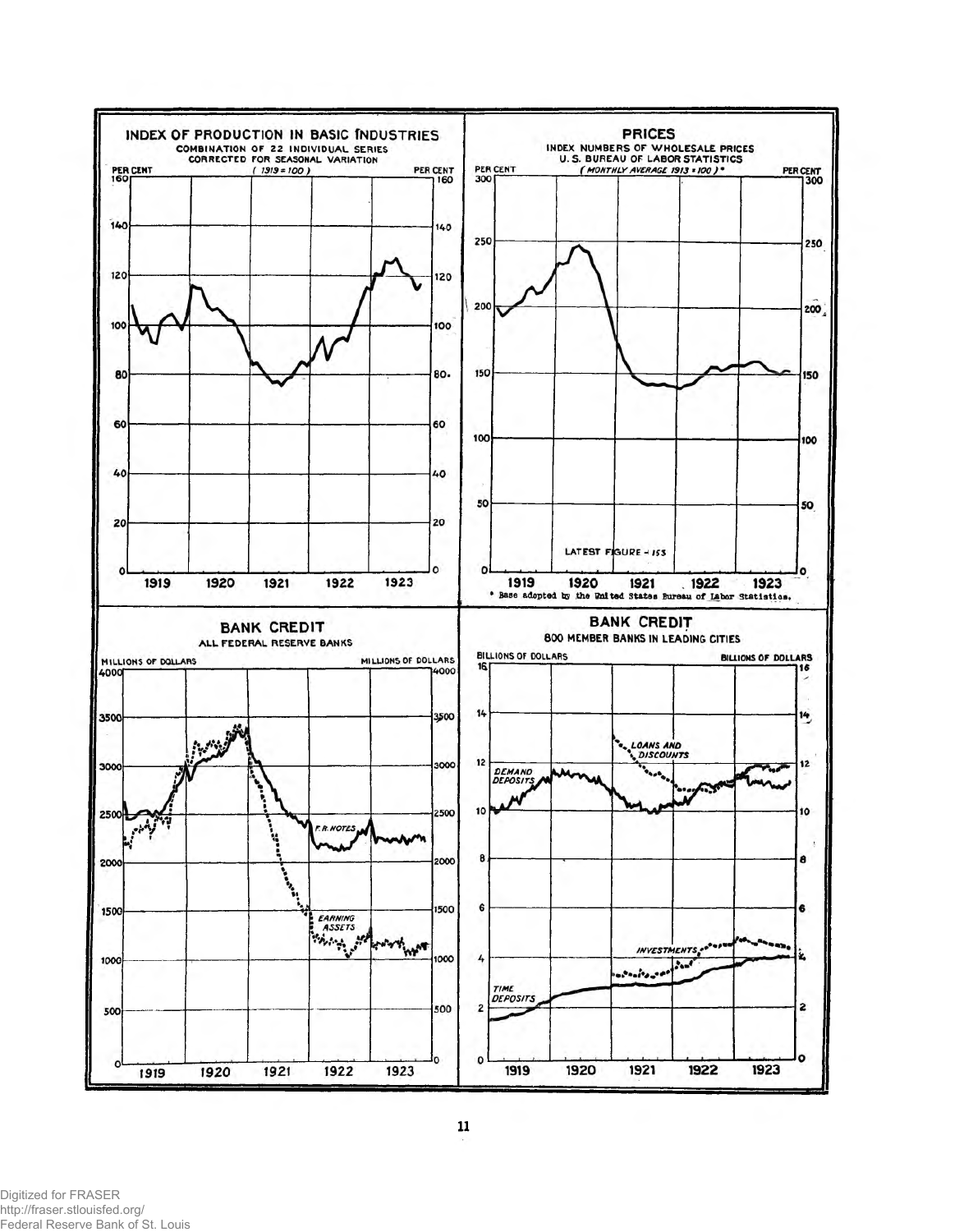

Digitized for FRASER http://fraser.stlouisfed.org/ Federal Reserve Bank of St. Louis